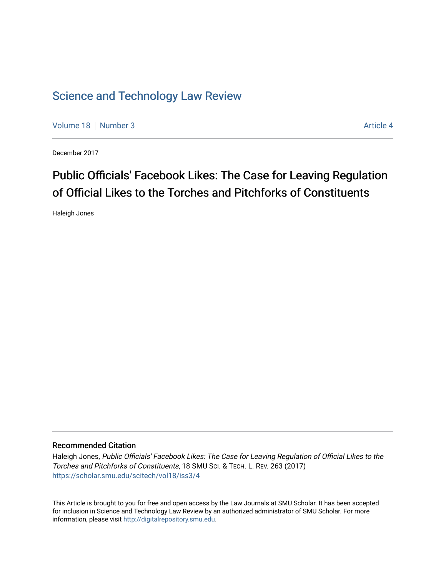# [Science and Technology Law Review](https://scholar.smu.edu/scitech)

[Volume 18](https://scholar.smu.edu/scitech/vol18) [Number 3](https://scholar.smu.edu/scitech/vol18/iss3) Article 4

December 2017

# Public Officials' Facebook Likes: The Case for Leaving Regulation of Official Likes to the Torches and Pitchforks of Constituents

Haleigh Jones

## Recommended Citation

Haleigh Jones, Public Officials' Facebook Likes: The Case for Leaving Regulation of Official Likes to the Torches and Pitchforks of Constituents, 18 SMU SCI. & TECH. L. REV. 263 (2017) [https://scholar.smu.edu/scitech/vol18/iss3/4](https://scholar.smu.edu/scitech/vol18/iss3/4?utm_source=scholar.smu.edu%2Fscitech%2Fvol18%2Fiss3%2F4&utm_medium=PDF&utm_campaign=PDFCoverPages)

This Article is brought to you for free and open access by the Law Journals at SMU Scholar. It has been accepted for inclusion in Science and Technology Law Review by an authorized administrator of SMU Scholar. For more information, please visit [http://digitalrepository.smu.edu](http://digitalrepository.smu.edu/).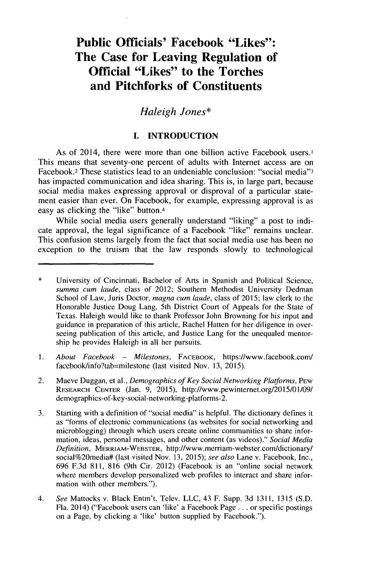# **Public** *Officials'* **Facebook "Likes": The Case for Leaving Regulation of Official "Likes" to the Torches and Pitchforks of Constituents**

## *Haleigh Jones\**

### **I. INTRODUCTION**

As of 2014, there were more than one billion active Facebook users.' This means that seventy-one percent of adults with Internet access are on Facebook.2 These statistics lead to an undeniable conclusion: "social media"3 has impacted communication and idea sharing. This is, in large part, because social media makes expressing approval or disproval of a particular statement easier than ever. On Facebook, for example, expressing approval is as easy as clicking the "like" button.4

While social media users generally understand "liking" a post to indicate approval, the legal significance of a Facebook "like" remains unclear. This confusion stems largely from the fact that social media use has been no exception to the truism that the law responds slowly to technological

- **I.** *About Facebook* **-** *Milestones,* FACEBOOK, https://www.facebook.com/ facebook/info?tab=milestone (last visited Nov. **13, 2015).**
- 2. Maeve Duggan, et al., *Demographics of Key Social Networking Platforms,* **PEW RESEARCH CENTER** (Jan. **9, 2015),** http://www.pewintemet.org/2015/01/09/ demographics-of-key-social-networking-platforms-2.
- **3.** Starting with a definition of "social media" is helpful. The dictionary defines it as "forms of electronic communications (as websites for social networking and microblogging) through which users create online communities to share information, ideas, personal messages, and other content (as videos)." *Social Media Definition,* **MERRIAM-WEBSTER,** http://www.merriam-webster.com/dictionary/ social%20media# (last visited Nov. **13, 2015);** *see also* Lane v. Facebook, Inc., **696 F.3d 811, 816** (9th Cir. 2012) (Facebook is an "online social network where members develop personalized web profiles to interact and share information with other members.").
- 4. *See* Mattocks v. Black Entm't. Telev. **LLC,** 43 F. Supp. **3d 1311, 1315 (S.D.** Fla. 2014) ("Facebook users can 'like' a Facebook Page **...** or specific postings on a Page, **by** clicking a 'like' button supplied **by** Facebook.").

<sup>\*</sup> University of Cincinnati, Bachelor of Arts in Spanish and Political Science, *summa cum laude,* class of 2012; Southern Methodist University Dedman School of Law, Juris Doctor, *magna cum laude,* class of **2015;** law clerk to the Honorable Justice Doug Lang, 5th District Court of Appeals for the State of Texas. Haleigh would like to thank Professor John Browning for his input and guidance in preparation of this article, Rachel Hatten for her diligence in overseeing publication of this article, and Justice Lang for the unequaled mentorship he provides Haleigh in all her pursuits.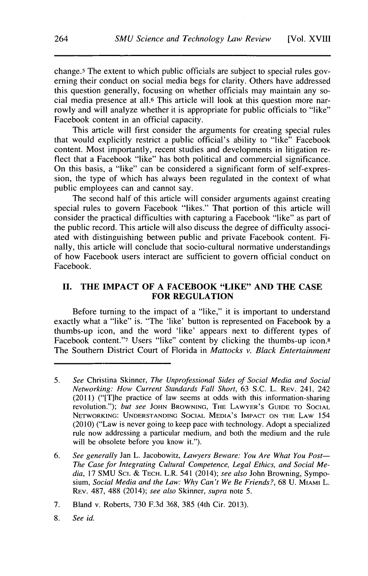change.5 The extent to which public officials are subject to special rules governing their conduct on social media begs for clarity. Others have addressed this question generally, focusing on whether officials may maintain any social media presence at all.6 This article will look at this question more narrowly and will analyze whether it is appropriate for public officials to "like" Facebook content in an official capacity.

This article will first consider the arguments for creating special rules that would explicitly restrict a public official's ability to "like" Facebook content. Most importantly, recent studies and developments in litigation reflect that a Facebook "like" has both political and commercial significance. On this basis, a "like" can be considered a significant form of self-expression, the type of which has always been regulated in the context of what public employees can and cannot say.

The second half of this article will consider arguments against creating special rules to govern Facebook "likes." That portion of this article will consider the practical difficulties with capturing a Facebook "like" as part of the public record. This article will also discuss the degree of difficulty associated with distinguishing between public and private Facebook content. Finally, this article will conclude that socio-cultural normative understandings of how Facebook users interact are sufficient to govern official conduct on Facebook.

#### **II. THE IMPACT OF A FACEBOOK "LIKE" AND THE CASE FOR REGULATION**

Before turning to the impact of a "like," it is important to understand exactly what a "like" is. "The 'like' button is represented on Facebook **by** a thumbs-up icon, and the word 'like' appears next to different types of Facebook content."<sup>7</sup> Users "like" content by clicking the thumbs-up icon.<sup>8</sup> The Southern District Court of Florida in *Mattocks v. Black Entertainment*

**8.** *See id.*

**<sup>5.</sup>** *See* Christina Skinner, *The Unprofessional Sides of Social Media and Social Networking: How Current Standards Fall Short,* **63 S.C.** L. **REv.** 241, 242 (2011) ("[T]he practice of law seems at odds with this information-sharing revolution."); *but see* **JOHN BROWNING, THE LAWYER'S GUIDE TO SOCIAL NETWORKING: UNDERSTANDING SOCIAL MEDIA'S IMPACT ON THE LAw** *154* (2010) ("Law is never going to keep pace with technology. Adopt a specialized rule now addressing a particular medium, and both the medium and the rule will be obsolete before you know it.").

**<sup>6.</sup>** *See generally* Jan L. Jacobowitz, *Lawyers Beware: You Are What You Post-The Case for Integrating Cultural Competence, Legal Ethics, and Social Media,* **17 SMU** Sci. **& TECH.** L.R. *541* (2014); *see also* John Browning, Sympo*sium, Social Media and the Law: Why Can't We Be Friends?,* **68** U. **MIAMI** L. REv. **487, 488** (2014); *see also Skinner, supra note* **5.**

*<sup>7.</sup>* Bland v. Roberts, **730 F.3d 368, 385** (4th Cir. **2013).**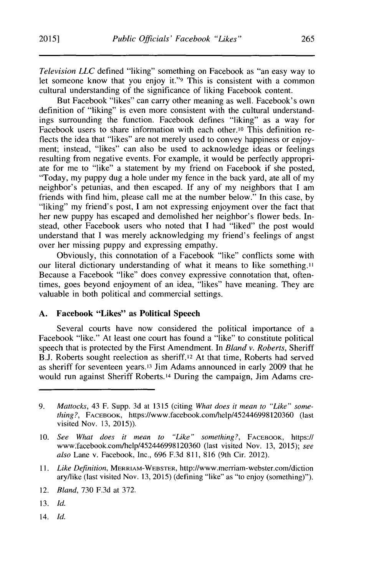*Television LLC* defined "liking" something on Facebook as "an easy way to let someone know that you enjoy it."9 This is consistent with a common cultural understanding of the significance of liking Facebook content.

But Facebook "likes" can carry other meaning as well. Facebook's own definition of "liking" is even more consistent with the cultural understandings surrounding the function. Facebook defines "liking" as a way for Facebook users to share information with each other.<sup>10</sup> This definition reflects the idea that "likes" are not merely used to convey happiness or enjoyment; instead, "likes" can also be used to acknowledge ideas or feelings resulting from negative events. For example, it would be perfectly appropriate for me to "like" a statement **by** my friend on Facebook **if** she posted, "Today, my puppy dug a hole under my fence in the back yard, ate all of my neighbor's petunias, and then escaped. **If** any of my neighbors that **I** am friends with find him, please call me at the number below." In this case, **by** "liking" my friend's post, **I** am not expressing enjoyment over the fact that her new puppy has escaped and demolished her neighbor's flower beds. Instead, other Facebook users who noted that I had "liked" the post would understand that **I** was merely acknowledging my friend's feelings of angst over her missing puppy and expressing empathy.

Obviously, this connotation of a Facebook "like" conflicts some with our literal dictionary understanding of what it means to like something." Because a Facebook "like" does convey expressive connotation that, oftentimes, goes beyond enjoyment of an idea, "likes" have meaning. They are valuable in both political and commercial settings.

#### **A. Facebook "Likes" as Political Speech**

Several courts have now considered the political importance of a Facebook "like." At least one court has found a "like" to constitute political speech that is protected **by** the First Amendment. In *Bland v. Roberts, Sheriff* **B.J.** Roberts sought reelection as sheriff.12 At that time, Roberts had served as sheriff for seventeen years.<sup>13</sup> Jim Adams announced in early 2009 that he would run against Sheriff Roberts.<sup>14</sup> During the campaign, Jim Adams cre-

**11.** *Like Definition,* **MERRIAM-WEBSTER,** http://www.merriam-webster.com/diction aryllike (last visited Nov. **13, 2015)** (defining "like" as "to enjoy (something)").

12. *Bland,* **730 F.3d** at **372.**

- **13.** *Id.*
- 14. *Id.*

**<sup>9.</sup>** *Mattocks,* 43 F. Supp. **3d** at **1315** (citing *What does it mean to "Like" something?,* **FACEBOOK,** https://www.facebook.com/help/452446998120360 (last visited Nov. **13, 2015)).**

**<sup>10.</sup>** *See What does it mean to "Like" something?,* **FACEBOOK,** https:// www'facebook.com/help/452446998120360 (last visited Nov. **13, 2015);** *see also* Lane v. Facebook, Inc., **696 F.3d 811, 816** (9th Cir. 2012).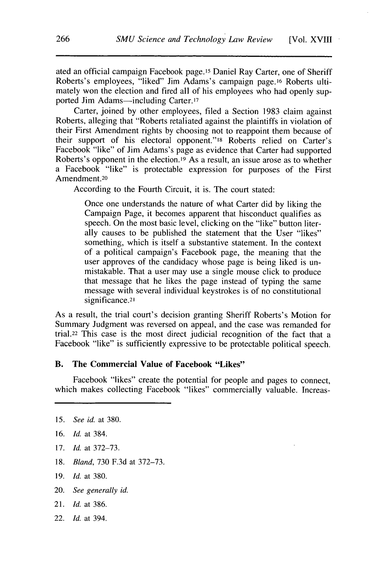ated an official campaign Facebook page. <sup>15</sup>Daniel Ray Carter, one of Sheriff Roberts's employees, "liked" Jim Adams's campaign page.<sup>16</sup> Roberts ultimately won the election and fired all of his employees who had openly supported Jim Adams—including Carter.<sup>17</sup>

Carter, joined **by** other employees, filed a Section **1983** claim against Roberts, alleging that "Roberts retaliated against the plaintiffs in violation of their First Amendment rights **by** choosing not to reappoint them because of their support of his electoral opponent."8 Roberts relied on Carter's Facebook "like" of Jim Adams's page as evidence that Carter had supported Roberts's opponent in the election.<sup>19</sup> As a result, an issue arose as to whether a Facebook "like" is protectable expression for purposes of the First Amendment.20

According to the Fourth Circuit, it is. The court stated:

Once one understands the nature of what Carter did **by** liking the Campaign Page, it becomes apparent that hisconduct qualifies as speech. On the most basic level, clicking on the "like" button literally causes to be published the statement that the User "likes" something, which is itself a substantive statement. In the context of a political campaign's Facebook page, the meaning that the user approves of the candidacy whose page is being liked is unmistakable. That a user may use a single mouse click to produce that message that he likes the page instead of typing the same message with several individual keystrokes is of no constitutional significance.<sup>21</sup>

As a result, the trial court's decision granting Sheriff Roberts's Motion for Summary Judgment was reversed on appeal, and the case was remanded for trial.22 This case is the most direct judicial recognition of the fact that a Facebook "like" is sufficiently expressive to be protectable political speech.

#### B. **The Commercial Value of Facebook "Likes"**

Facebook "likes" create the potential for people and pages to connect, which makes collecting Facebook "likes" commercially valuable. Increas-

- **16.** *Id.* at 384.
- **17.** *Id.* at **372-73.**
- **18.** *Bland,* **730 F.3d** at **372-73.**

**19.** *Id.* at **380.**

- 20. *See generally id.*
- 21. *Id.* at **386.**
- 22. *Id.* at 394.

*<sup>15.</sup> See id.* at **380.**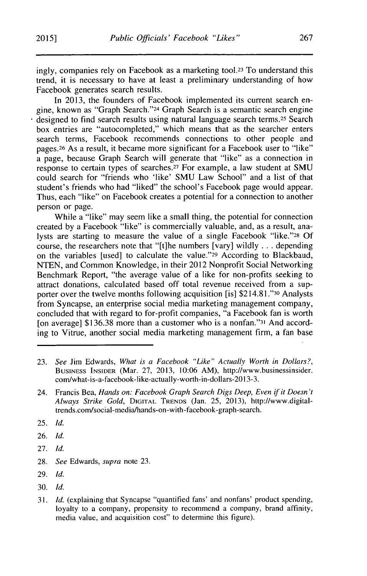ingly, companies rely on Facebook as a marketing tool.23 To understand this trend, it is necessary to have at least a preliminary understanding of how Facebook generates search results.

In **2013,** the founders of Facebook implemented its current search engine, known as "Graph Search."24 Graph Search is a semantic search engine designed to find search results using natural language search terms.<sup>25</sup> Search box entries are "autocompleted," which means that as the searcher enters search terms, Facebook recommends connections to other people and pages. <sup>26</sup>As a result, it became more significant for a Facebook user to "like" a page, because Graph Search will generate that "like" as a connection in response to certain types of searches.<sup>27</sup> For example, a law student at SMU could search for "friends who 'like' **SMU** Law School" and a list of that student's friends who had "liked" the school's Facebook page would appear. Thus, each "like" on Facebook creates a potential for a connection to another person or page.

While a "like" may seem like a small thing, the potential for connection created **by** a Facebook "like" is commercially valuable, and, as a result, analysts are starting to measure the value of a single Facebook "like."28 **Of** course, the researchers note that "[t]he numbers [vary] wildly **.** . **.** depending on the variables [used] to calculate the value."<sup>29</sup> According to Blackbaud, **NTEN,** and Common Knowledge, in their 2012 Nonprofit Social Networking Benchmark Report, "the average value of a like for non-profits seeking to attract donations, calculated based off total revenue received from a supporter over the twelve months following acquisition [is] \$214.81."3o Analysts from Syncapse, an enterprise social media marketing management company, concluded that with regard to for-profit companies, "a Facebook fan is worth [on average] **\$136.38** more than a customer who is a nonfan."31 And according to Vitrue, another social media marketing management firm, a fan base

- *25. Id.*
- **26.** *Id.*
- **27.** *Id.*
- **28.** *See Edwards, supra* note **23.**
- **29.** *Id.*
- **30.** *Id.*
- **31.** *Id.* (explaining that Syncapse "quantified fans' and nonfans' product spending, loyalty to a company, propensity to recommend a company, brand affinity, media value, and acquisition cost" to determine this figure).

**<sup>23.</sup>** *See* Jim Edwards, *What is a Facebook "Like" Actually Worth in Dollars?,* **BUSINESS INSIDER** (Mar. **27, 2013, 10:06** AM), http://www.businessinsider. com/what-is-a-facebook-like-actually-worth-in-dollars-2013-3.

<sup>24.</sup> Francis Bea, *Hands on: Facebook Graph Search Digs Deep, Even if it Doesn't Always Strike Gold,* **DIGITAL TRENDS** (Jan. **25, 2013),** http://www.digitaltrends.com/social-media/hands-on-with-facebook-graph-search.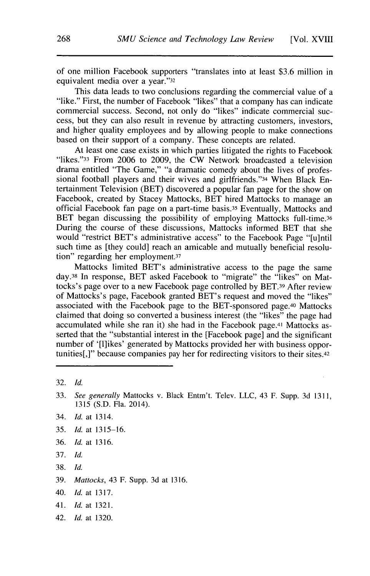of one million Facebook supporters "translates into at least **\$3.6** million in equivalent media over a year."32

This data leads to two conclusions regarding the commercial value of a "like." First, the number of Facebook "likes" that a company has can indicate commercial success. Second, not only do "likes" indicate commercial success, but they can also result in revenue **by** attracting customers, investors, and higher quality employees and **by** allowing people to make connections based on their support of a company. These concepts are related.

At least one case exists in which parties litigated the rights to Facebook "likes."33 From **2006** to **2009,** the CW Network broadcasted a television drama entitled "The Game," "a dramatic comedy about the lives of professional football players and their wives and girlfriends."34 When Black Entertainment Television (BET) discovered a popular fan page for the show on Facebook, created **by** Stacey Mattocks, BET hired Mattocks to manage an official Facebook fan page on a part-time basis.35 Eventually, Mattocks and BET began discussing the possibility of employing Mattocks full-time.<sup>36</sup> During the course of these discussions, Mattocks informed BET that she would "restrict BET's administrative access" to the Facebook Page "[u]ntil such time as [they could] reach an amicable and mutually beneficial resolution" regarding her employment.37

Mattocks limited BET's administrative access to the page the same day. <sup>3</sup> 8 In response, BET asked Facebook to "migrate" the "likes" on Mattocks's page over to a new Facebook page controlled **by** BET.39 After review of Mattocks's page, Facebook granted BET's request and moved the "likes" associated with the Facebook page to the BET-sponsored page.<sup>40</sup> Mattocks claimed that doing so converted a business interest (the "likes" the page had accumulated while she ran it) she had in the Facebook page.<sup>41</sup> Mattocks asserted that the "substantial interest in the [Facebook page] and the significant number of '[1]ikes' generated **by** Mattocks provided her with business opportunities[,]" because companies pay her for redirecting visitors to their sites.42

- **35.** *Id. at* **1315-16.**
- **36.** *Id. at* **1316.**
- **37.** *Id.*
- **38.** *Id.*
- **39.** *Mattocks,* 43 F. Supp. **3d** at **1316.**
- 40. *Id. at* **1317.**
- 41. *Id.* at **1321.**
- 42. *Id. at* **1320.**

**<sup>32.</sup>** *Id.*

**<sup>33.</sup>** *See generally* Mattocks v. Black Entm't. Telev. **LLC,** 43 F. Supp. **3d 1311, 1315 (S.D.** Fla. 2014).

<sup>34.</sup> *Id. at* 1314.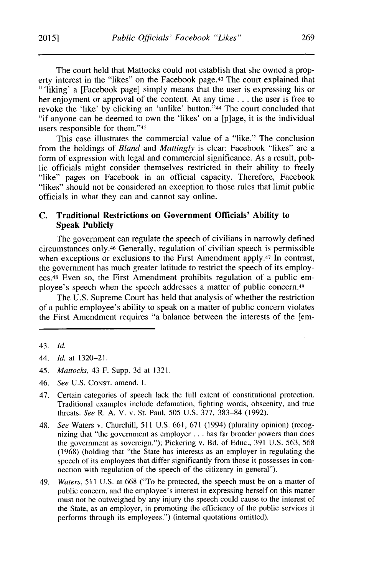The court held that Mattocks could not establish that she owned a property interest in the "likes" on the Facebook page.<sup>43</sup> The court explained that "'liking' a [Facebook page] simply means that the user is expressing his or her enjoyment or approval of the content. At any time **.** . **.** the user is free to revoke the 'like' **by** clicking an 'unlike' button."44 The court concluded that "if anyone can be deemed to own the 'likes' on a [p]age, it is the individual users responsible for them."45

This case illustrates the commercial value of a "like." The conclusion from the holdings of *Bland and Mattingly* is clear: Facebook "likes" are a form of expression with legal and commercial significance. As a result, public officials might consider themselves restricted in their ability to freely "like" pages on Facebook in an official capacity. Therefore, Facebook "likes" should not be considered an exception to those rules that limit public officials in what they can and cannot say online.

#### **C. Traditional Restrictions on Government Officials' Ability to Speak Publicly**

The government can regulate the speech of civilians in narrowly defined circumstances only.46 Generally, regulation of civilian speech is permissible when exceptions or exclusions to the First Amendment apply.<sup>47</sup> In contrast, the government has much greater latitude to restrict the speech of its employees.<sup>48</sup> Even so, the First Amendment prohibits regulation of a public employee's speech when the speech addresses a matter of public concern.<sup>49</sup>

The **U.S.** Supreme Court has held that analysis of whether the restriction of a public employee's ability to speak on a matter of public concern violates the First Amendment requires "a balance between the interests of the [em-

- 45. *Mattocks,* 43 F. Supp. **3d** at **1321.**
- 46. *See* **U.S. CONsT.** amend. I.
- 47. Certain categories of speech lack the full extent of constitutional protection. Traditional examples include defamation, fighting words, obscenity, and true threats. *See* R. **A.** V. v. St. Paul, **505 U.S. 377, 383-84 (1992).**
- 48. *See* Waters v. Churchill, **511 U.S. 661, 671** (1994) (plurality opinion) (recognizing that "the government as employer **.** . **.** has far broader powers than does the government as sovereign."); Pickering v. Bd. of Educ., **391 U.S. 563, 568 (1968)** (holding that "the State has interests as an employer in regulating the speech of its employees that differ significantly from those it possesses in connection with regulation of the speech of the citizenry in general").
- 49. *Waters,* **511 U.S.** at **668** ("To be protected, the speech must be on a matter of public concern, and the employee's interest in expressing herself on this matter must not be outweighed **by** any injury the speech could cause to the interest of the State, as an employer, in promoting the efficiency of the public services it performs through its employees.") (internal quotations omitted).

<sup>43.</sup> *Id.*

<sup>44.</sup> *Id.* at **1320-21.**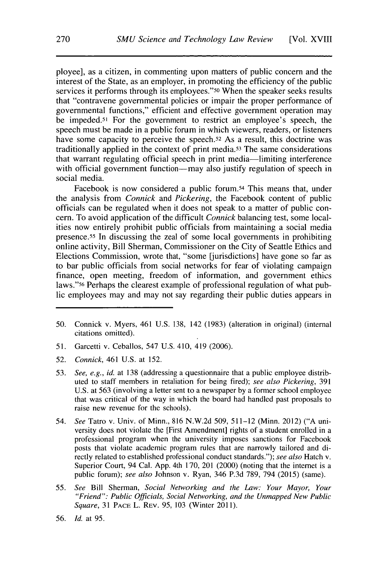ployee], as a citizen, in commenting upon matters of public concern and the interest of the State, as an employer, in promoting the efficiency of the public services it performs through its employees."<sup>50</sup> When the speaker seeks results that "contravene governmental policies or impair the proper performance of governmental functions," efficient and effective government operation may be impeded.51 For the government to restrict an employee's speech, the speech must be made in a public forum in which viewers, readers, or listeners have some capacity to perceive the speech.<sup>52</sup> As a result, this doctrine was traditionally applied in the context of print media.53 The same considerations that warrant regulating official speech in print media-limiting interference with official government function-may also justify regulation of speech in social media.

Facebook is now considered a public forum.<sup>54</sup> This means that, under the analysis from *Connick and Pickering,* the Facebook content of public officials can be regulated when it does not speak to a matter of public concern. To avoid application of the difficult *Connick* balancing test, some localities now entirely prohibit public officials from maintaining a social media presence.<sup>55</sup> In discussing the zeal of some local governments in prohibiting online activity, Bill Sherman, Commissioner on the City of Seattle Ethics and Elections Commission, wrote that, "some [jurisdictions] have gone so far as to bar public officials from social networks for fear of violating campaign finance, open meeting, freedom of information, and government ethics laws."56 Perhaps the clearest example of professional regulation of what public employees may and may not say regarding their public duties appears in

- *50.* Connick v. Myers, 461 **U.S. 138,** 142 **(1983)** (alteration in original) (internal citations omitted).
- *51.* Garcetti v. Ceballos, 547 **U.S.** 410, 419 **(2006).**
- *52. Connick,* 461 **U.S.** at **152.**
- **53.** *See, e.g., id.* at **138** (addressing a questionnaire that a public employee distributed to staff members in retaliation for being fired); *see also Pickering, 391* **U.S.** at **563** (involving a letter sent to a newspaper **by** a former school employee that was critical of the way in which the board had handled past proposals to raise new revenue for the schools).
- 54. *See* Tatro v. Univ. of Minn., **816 N.W.2d 509, 511-12** (Minn. 2012) **("A** university does not violate the [First Amendment] rights of a student enrolled in a professional program when the university imposes sanctions for Facebook posts that violate academic program rules that are narrowly tailored and directly related to established professional conduct standards."); *see also* Hatch v. Superior Court, 94 Cal. **App.** 4th **170,** 201 (2000) (noting that the internet is a public forum); *see also* Johnson v. Ryan, 346 **P.3d 789,** 794 **(2015)** (same).
- **55.** *See* Bill Sherman, *Social Networking and the Law: Your Mayor, Your "Friend": Public Officials, Social Networking, and the Unmapped New Public Square,* **31 PACE** L. **REV. 95, 103** (Winter **2011).**
- **56.** *Id.* at **95.**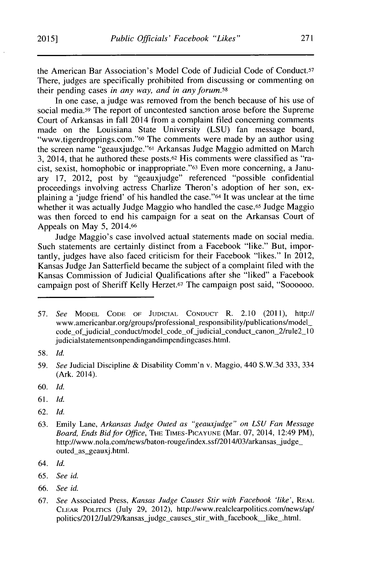the American Bar Association's Model Code of Judicial Code of Conduct-5 There, judges are specifically prohibited from discussing or commenting on their pending cases *in any way, and in any forum.58*

In one case, a judge was removed from the bench because of his use of social media.<sup>59</sup> The report of uncontested sanction arose before the Supreme Court of Arkansas in fall 2014 from a complaint filed concerning comments made on the Louisiana State University **(LSU)** fan message board, "www.tigerdroppings.com."o The comments were made **by** an author using the screen name "geauxjudge."61 Arkansas Judge Maggio admitted on March 3, 2014, that he authored these posts.<sup>62</sup> His comments were classified as "racist, sexist, homophobic or inappropriate."63 Even more concerning, a January **17,** 2012, post **by** "geauxjudge" referenced "possible confidential proceedings involving actress Charlize Theron's adoption of her son, explaining a 'judge friend' of his handled the case."64 It was unclear at the time whether it was actually Judge Maggio who handled the case.<sup>65</sup> Judge Maggio was then forced to end his campaign for a seat on the Arkansas Court of Appeals on May **5,** 2014.66

Judge Maggio's case involved actual statements made on social media. Such statements are certainly distinct from a Facebook "like." But, importantly, judges have also faced criticism for their Facebook "likes." In 2012, Kansas Judge Jan Satterfield became the subject of a complaint filed with the Kansas Commission of Judicial Qualifications after she "liked" a Facebook campaign post of Sheriff Kelly Herzet.67 The campaign post said, "Soooooo.

- **60.** *Id.*
- **61.** *Id.*
- **62.** *Id.*
- **63.** Emily Lane, *Arkansas Judge Outed as "geauxjudge" on LSU Fan Message Board, Ends Bid for Office,* **THE TIMES-PICAYUNE** (Mar. **07,** 2014, 12:49 PM), http://www.nola.com/news/baton-rouge/index.ssf/2014/03/arkansas\_judge\_ outed as\_geauxj.html.
- 64. *Id.*
- **65.** *See id.*
- *66. See id.*
- **67.** *See* Associated Press, *Kansas Judge Causes Stir with Facebook 'like',* **REAL CLEAR PoLITICs** (July **29,** 2012), http://www.realclearpolitics.com/news/ap/ politics/2012/Jul/29/kansas\_judge\_causes\_stir\_with\_facebook\_like\_.html.

**<sup>57.</sup>** *See* MODEL **CODE** OF **JUDICIAL CONDUCT** R. 2.10 **(2011),** *http://* www.americanbar.org/groups/professional\_responsibility/publications/model\_ code\_of\_judicial\_conduct/model\_code\_of\_judicial\_conduct\_canon\_2/rule2\_10 judicialstatementsonpendingandimpendingcases.html.

**<sup>58.</sup>** *Id.*

**<sup>59.</sup>** *See* Judicial Discipline **&** Disability Comm'n v. Maggio, 440 **S.W.3d 333,** 334 (Ark. 2014).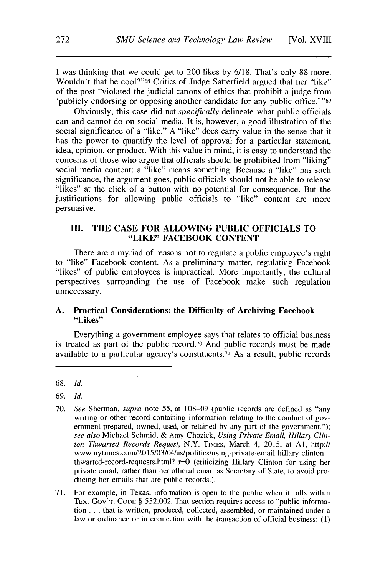**I** was thinking that we could get to 200 likes **by 6/18.** That's only **88** more. Wouldn't that be cool?"<sup>68</sup> Critics of Judge Satterfield argued that her "like" of the post "violated the judicial canons of ethics that prohibit a judge from 'publicly endorsing or opposing another candidate for any public office.' **"69**

Obviously, this case did not *specifically* delineate what public officials can and cannot do on social media. It is, however, a good illustration of the social significance of a "like." **A** "like" does carry value in the sense that it has the power to quantify the level of approval for a particular statement, idea, opinion, or product. With this value in mind, it is easy to understand the concerns of those who argue that officials should be prohibited from "liking" social media content: a "like" means something. Because a "like" has such significance, the argument goes, public officials should not be able to release "likes" at the click of a button with no potential for consequence. But the justifications for allowing public officials to "like" content are more persuasive.

#### **III. THE CASE FOR ALLOWING PUBLIC OFFICIALS TO "LIKE" FACEBOOK CONTENT**

**There are a** myriad of reasons not to regulate **a public** employee's right to "like" Facebook content. As a preliminary matter, regulating Facebook "likes" of public employees is impractical. More importantly, the cultural perspectives surrounding the use of Facebook make such regulation unnecessary.

#### **A. Practical Considerations: the Difficulty of Archiving Facebook "Likes"**

Everything a government employee says that relates to official business is treated as part of the public record.<sup>70</sup> And public records must be made available to a particular agency's constituents.71 As a result, public records

- *69. Id.*
- **70.** *See Sherman, supra note 55,* at **108-09** (public records are defined as "any writing or other record containing information relating to the conduct of government prepared, owned, used, or retained **by** any part of the government."); *see also* Michael Schmidt **&** Amy Chozick, *Using Private Email, Hillary Clinton Thwarted Records Request,* N.Y. **TIMES,** March 4, **2015,** at **Al,** http:// www.nytimes.com/2015/03/04/us/politics/using-private-email-hillary-clintonthwarted-record-requests.html?\_r=0 (criticizing Hillary Clinton for using her private email, rather than her official email as Secretary of State, to avoid producing her emails that are public records.).
- **71.** For example, in Texas, information is open to the public when it falls within TEX. Gov'T. **CODE § 552.002.** That section requires access to "public information **.** . **.** that is written, produced, collected, assembled, or maintained under a law or ordinance or in connection with the transaction of official business: **(1)**

**<sup>68.</sup>** *Id.*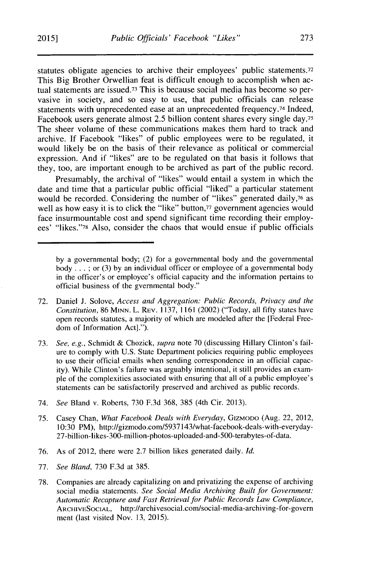statutes obligate agencies to archive their employees' public statements.<sup>72</sup> This Big Brother Orwellian feat is difficult enough to accomplish when actual statements are issued.73 This is because social media has become so pervasive in society, and so easy to use, that public officials can release statements with unprecedented ease at an unprecedented frequency.74 Indeed, Facebook users generate almost **2.5** billion content shares every single day.75 The sheer volume of these communications makes them hard to track and archive. **If** Facebook "likes" of public employees were to be regulated, it would likely be on the basis of their relevance as political or commercial expression. And **if** "likes" are to be regulated on that basis it follows that they, too, are important enough to be archived as part of the public record.

Presumably, the archival of "likes" would entail a system in which the date and time that a particular public official "liked" a particular statement would be recorded. Considering the number of "likes" generated daily,<sup>76</sup> as well as how easy it is to click the "like" button,<sup>77</sup> government agencies would face insurmountable cost and spend significant time recording their employees' "likes."78 Also, consider the chaos that would ensue if public officials

- **72.** Daniel **J.** Solove, *Access and Aggregation: Public Records, Privacy and the Constitution,* **86 MINN.** L. REV. **1137, 1161** (2002) ("Today, all **fifty** states have open records statutes, a majority of which are modeled after the [Federal Freedom of Information Act].").
- **73.** *See, e.g.,* Schmidt **&** Chozick, *supra* note **70** (discussing Hillary Clinton's failure to comply with **U.S.** State Department policies requiring public employees to use their official emails when sending correspondence in an official capacity). While Clinton's failure was arguably intentional, it still provides an example of the complexities associated with ensuring that all of a public employee's statements can be satisfactorily preserved and archived as public records.
- 74. *See* Bland v. Roberts, **730 F.3d 368, 385** (4th Cir. **2013).**
- **75.** Casey Chan, *What Facebook Deals with Everyday,* GIZMODo (Aug. 22, 2012, **10:30** PM), http://gizmodo.com/5937143/what-facebook-deals-with-everyday-27-billion-likes-300-million-photos-uploaded-and-500-terabytes-of-data.
- **76.** As of 2012, there were **2.7** billion likes generated daily. *Id.*
- **77.** *See Bland,* **730 F.3d** at **385.**
- **78.** Companies are already capitalizing on and privatizing the expense of archiving social media statements. *See Social Media Archiving Built for Government: Automatic Recapture and Fast Retrieval for Public Records Law Compliance,* **ARCHIVESOCIAL,** http://archivesocial.com/social-media-archiving-for-govern ment (last visited Nov. **13, 2015).**

**by** a governmental body; (2) for a governmental body and the governmental body **.** . **. ;** or **(3) by** an individual officer or employee of a governmental body in the officer's or employee's official capacity and the information pertains to official business of the gvernmental body."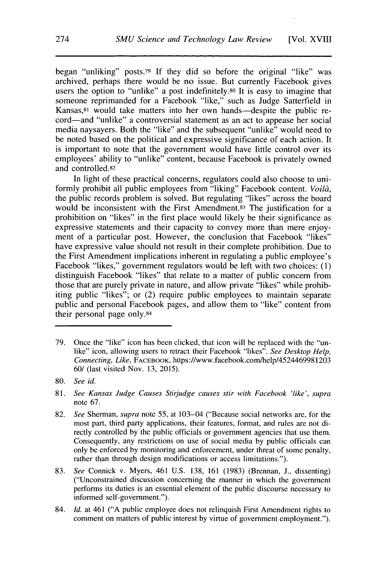began "unliking" posts.79 **If** they did so before the original "like" was archived, perhaps there would be no issue. But currently Facebook gives users the option to "unlike" a post indefinitely.<sup>80</sup> It is easy to imagine that someone reprimanded for a Facebook "like," such as Judge Satterfield in Kansas,<sup>81</sup> would take matters into her own hands-despite the public record-and "unlike" a controversial statement as an act to appease her social media naysayers. Both the "like" and the subsequent "unlike" would need to be noted based on the political and expressive significance of each action. It is important to note that the government would have little control over its employees' ability to "unlike" content, because Facebook is privately owned and controlled.82

In light of these practical concerns, regulators could also choose to uniformly prohibit all public employees from "liking" Facebook content. *Voildi,* the public records problem is solved. But regulating "likes" across the board would be inconsistent with the First Amendment.<sup>83</sup> The justification for a prohibition on "likes" in the first place would likely be their significance as expressive statements and their capacity to convey more than mere enjoyment of a particular post. However, the conclusion that Facebook "likes" have expressive value should not result in their complete prohibition. Due to the First Amendment implications inherent in regulating a public employee's Facebook "likes," government regulators would be left with two choices: **(1)** distinguish Facebook "likes" that relate to a matter of public concern from those that are purely private in nature, and allow private "likes" while prohibiting public "likes"; or (2) require public employees to maintain separate public and personal Facebook pages, and allow them to "like" content from their personal page only.84

**<sup>79.</sup>** Once the "like" icon has been clicked, that icon will be replaced with the "unlike" icon, allowing users to retract their Facebook "likes". *See Desktop Help, Connecting, Like,* **FACEBOOK,** https://www.facebook.com/help/4524469981203 **60/** (last visited Nov. **13, 2015).**

**<sup>80.</sup>** *See id.*

**<sup>81.</sup>** *See Kansas Judge Causes Stirjudge causes stir with Facebook 'like', supra* note **67.**

**<sup>82.</sup>** *See Sherman, supra* note *55,* at 103-04 ("Because social networks are, for the most part, third party applications, their features, format, and rules are not directly controlled **by** the public officials or government agencies that use them. Consequently, any restrictions on use of social media **by** public officials can only be enforced **by** monitoring and enforcement, under threat of some penalty, rather than through design modifications or access limitations.").

**<sup>83.</sup>** *See* Connick v. Myers, 461 **U.S. 138, 161 (1983)** (Brennan, **J.,** dissenting) ("Unconstrained discussion concerning the manner in which the government performs its duties is an essential element of the public discourse necessary to informed self-government.").

<sup>84.</sup> *Id.* at 461 **("A** public employee does not relinquish First Amendment rights to comment on matters of public interest **by** virtue of government employment.").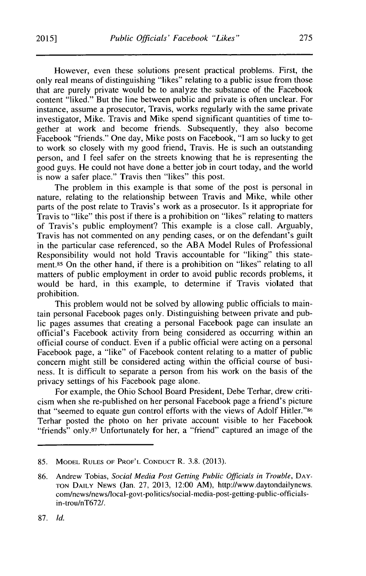However, even these solutions present practical problems. First, the only real means of distinguishing "likes" relating to a public issue from those that are purely private would be to analyze the substance of the Facebook content "liked." But the line between public and private is often unclear. For instance, assume a prosecutor, Travis, works regularly with the same private investigator, Mike. Travis and Mike spend significant quantities of time together at work and become friends. Subsequently, they also become Facebook "friends." One day, Mike posts on Facebook, **"I** am so lucky to get to work so closely with my good friend, Travis. He is such an outstanding person, and **I** feel safer on the streets knowing that he is representing the good guys. He could not have done a better **job** in court today, and the world is now a safer place." Travis then "likes" this post.

The problem in this example is that some of the post is personal in nature, relating to the relationship between Travis and Mike, while other parts of the post relate to Travis's work as a prosecutor. Is it appropriate for Travis to "like" this post if there is a prohibition on "likes" relating to matters of Travis's public employment? This example is a close call. Arguably, Travis has not commented on any pending cases, or on the defendant's guilt in the particular case referenced, so the **ABA** Model Rules of Professional Responsibility would not hold Travis accountable for "liking" this statement.<sup>85</sup>On the other hand, if there is a prohibition on "likes" relating to all matters of public employment in order to avoid public records problems, it would be hard, in this example, to determine if Travis violated that prohibition.

This problem would not be solved **by** allowing public officials to maintain personal Facebook pages only. Distinguishing between private and public pages assumes that creating a personal Facebook page can insulate an official's Facebook activity from being considered as occurring within an official course of conduct. Even if a public official were acting on a personal Facebook page, a "like" of Facebook content relating to a matter of public concern might still be considered acting within the official course of business. It is difficult to separate a person from his work on the basis **of** the privacy settings of his Facebook page alone.

For example, the Ohio School Board President, Debe Terhar, drew criticism when she re-published on her personal Facebook page a friend's picture that "seemed to equate gun control efforts with the views of Adolf Hitler."86 Terhar posted the photo on her private account visible to her Facebook "friends" only.<sup>87</sup> Unfortunately for her, a "friend" captured an image of the

**87.** *Id.*

**<sup>85.</sup> MODEL RULES OF PROF'L CONDUCT** R. **3.8. (2013).**

**<sup>86.</sup>** Andrew Tobias, *Social Media Post Getting Public Officials in Trouble,* **DAY-TON DAILY** NEWS (Jan. **27, 2013,** 12:00 AM), http://www.daytondailynews. com/news/news/local-govt-politics/social-media-post-getting-public-officialsin-trou/nT672/.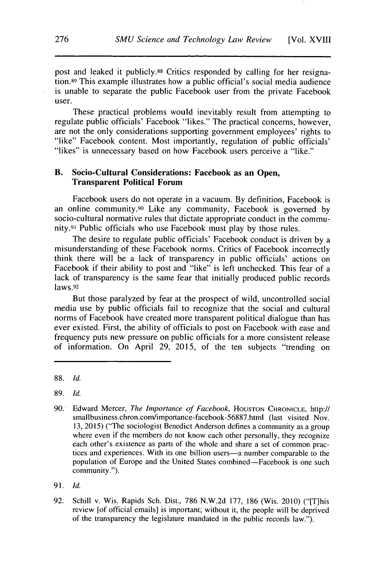post and leaked it publicly.88 Critics responded **by** calling for her resignation.89 This example illustrates how a public official's social media audience is unable to separate the public Facebook user from the private Facebook user.

These practical problems would inevitably result from attempting to regulate public officials' Facebook "likes." The practical concerns, however, are not the only considerations supporting government employees' rights to "like" Facebook content. Most importantly, regulation of public officials' "likes" is unnecessary based on how Facebook users perceive a "like."

#### **B. Socio-Cultural Considerations: Facebook as an Open, Transparent Political Forum**

**Facebook users do not** operate **in a vacuum. By** definition, **Facebook** is **an online** community.90 Like any community, Facebook is governed **by** socio-cultural normative rules that dictate appropriate conduct in the community.91 Public officials who use Facebook must play **by** those rules.

The desire to regulate public officials' Facebook conduct is driven **by** a misunderstanding of these Facebook norms. Critics of Facebook incorrectly think there will be a lack of transparency in public officials' actions on Facebook if their ability to post and "like" is left unchecked. This fear of a lack of transparency is the same fear that initially produced public records laws.92

But those paralyzed **by** fear at the prospect of wild, uncontrolled social media use **by** public officials fail to recognize that the social and cultural norms of Facebook have created more transparent political dialogue than has ever existed. First, the ability of officials to post on Facebook with ease and frequency puts new pressure on public officials for a more consistent release of information. On April **29, 2015,** of the ten subjects "trending on

**<sup>88.</sup>** *Id.*

**<sup>89.</sup>** *Id.*

**<sup>90.</sup>** Edward Mercer, *The Importance of Facebook,* **HOUSTON CHRONICLE,** http:// smallbusiness.chron.com/importance-facebook-56887.html (last visited Nov. **13, 2015)** ("The sociologist Benedict Anderson defines a community as a group where even if the members do not know each other personally, they recognize each other's existence as parts of the whole and share a set of common practices and experiences. With its one billion users-a number comparable to the population of Europe and the United States combined-Facebook is one such community.").

**<sup>91.</sup>** *Id.*

**<sup>92.</sup>** Schill v. Wis. Rapids Sch. Dist., **786 N.W.2d 177, 186** (Wis. 2010) ("[T]his review [of official emails] is important; without it, the people will be deprived of the transparency the legislature mandated in the public records law.").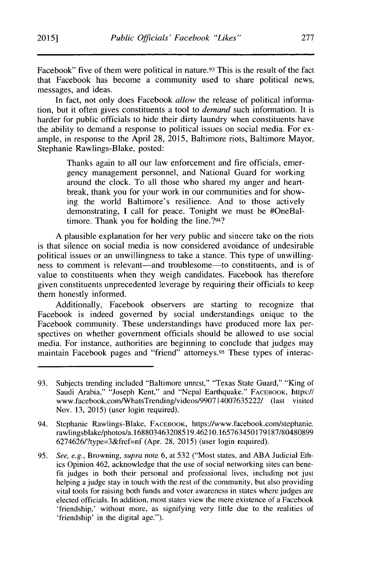Facebook" five of them were political in nature.<sup>93</sup> This is the result of the fact that Facebook has become a community used to share political news, messages, and ideas.

In fact, not only does Facebook *allow* the release of political information, but it often gives constituents a tool to *demand* such information. It **is** harder for public officials to hide their dirty laundry when constituents have the ability to demand a response to political issues on social media. For example, in response to the April **28, 2015,** Baltimore riots, Baltimore Mayor, Stephanie Rawlings-Blake, posted:

> Thanks again to all our law enforcement and fire officials, emergency management personnel, and National Guard for working around the clock. To all those who shared my anger and heartbreak, thank you for your work in our communities and for showing the world Baltimore's resilience. And to those actively demonstrating, **I** call for peace. Tonight we must be #OneBaltimore. Thank you for holding the line.?94?

**A** plausible explanation for her very public and sincere take on the riots is that silence on social media is now considered avoidance of undesirable political issues or an unwillingness to take a stance. This type of unwillingness to comment is relevant-and troublesome-to constituents, and is of value to constituents when they weigh candidates. Facebook has therefore given constituents unprecedented leverage **by** requiring their officials to keep them honestly informed.

Additionally, Facebook observers are starting to recognize that Facebook is indeed governed **by** social understandings unique to the Facebook community. These understandings have produced more lax perspectives on whether government officials should be allowed to use social media. For instance, authorities are beginning to conclude that judges may maintain Facebook pages and "friend" attorneys.<sup>95</sup> These types of interac-

**<sup>93.</sup>** Subjects trending included "Baltimore unrest," "Texas State Guard," "King of Saudi Arabia," "Joseph Kent," and "Nepal Earthquake." FACEBOOK, https:// www.facebook.com/WhatsTrending/videos/990714007635222/ (last visited Nov. **13, 2015)** (user login required).

<sup>94.</sup> Stephanie Rawlings-Blake, **FACEBOOK,** https://www.facebook.com/stephanie. rawlingsblake/photos/a. **168803463208519.46210.165763450179187/80480899** 6274626/?type=3&fref=nf (Apr. **28, 2015)** (user login required).

**<sup>95.</sup>** *See, e.g., Browning, supra* note **6,** at **532** ("Most states, and **ABA** Judicial Ethics Opinion 462, acknowledge that the use of social networking sites can benefit judges in both their personal and professional lives, including not just helping a judge stay in touch with the rest of the community, but also providing vital tools for raising both funds and voter awareness in states where judges are elected officials. In addition, most states view the mere existence of a Facebook 'friendship,' without more, as signifying very little due to the realities of 'friendship' in the digital age.").